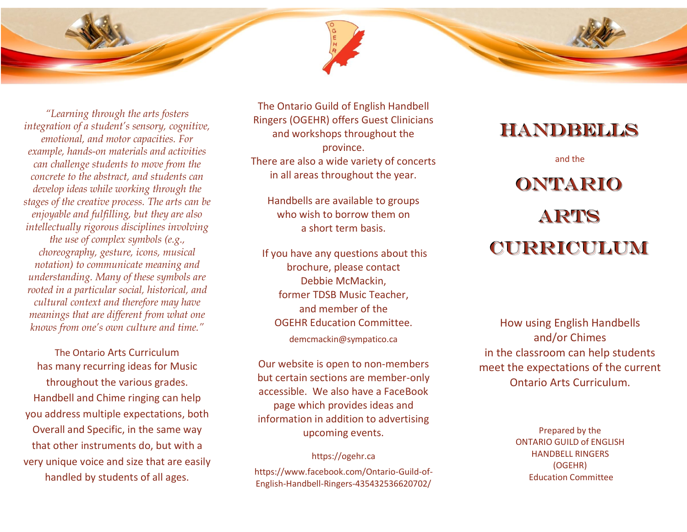

*"Learning through the arts fosters integration of a student's sensory, cognitive, emotional, and motor capacities. For example, hands-on materials and activities can challenge students to move from the concrete to the abstract, and students can develop ideas while working through the stages of the creative process. The arts can be enjoyable and fulfilling, but they are also intellectually rigorous disciplines involving the use of complex symbols (e.g., choreography, gesture, icons, musical notation) to communicate meaning and understanding. Many of these symbols are rooted in a particular social, historical, and cultural context and therefore may have meanings that are different from what one knows from one's own culture and time."*

The Ontario Arts Curriculum has many recurring ideas for Music throughout the various grades. Handbell and Chime ringing can help you address multiple expectations, both Overall and Specific, in the same way that other instruments do, but with a very unique voice and size that are easily handled by students of all ages.

The Ontario Guild of English Handbell Ringers (OGEHR) offers Guest Clinicians and workshops throughout the province. There are also a wide variety of concerts in all areas throughout the year.

Handbells are available to groups who wish to borrow them on a short term basis.

If you have any questions about this brochure, please contact Debbie McMackin, former TDSB Music Teacher, and member of the OGEHR Education Committee.

demcmackin@sympatico.ca

Our website is open to non-members but certain sections are member-only accessible. We also have a FaceBook page which provides ideas and information in addition to advertising upcoming events.

https://ogehr.ca https://www.facebook.com/Ontario-Guild-of-English-Handbell-Ringers-435432536620702/

# handbells

and the

# **ONTARIO** ARTS CURRICULUM

How using English Handbells and/or Chimes in the classroom can help students meet the expectations of the current Ontario Arts Curriculum.

> Prepared by the ONTARIO GUILD of ENGLISH HANDBELL RINGERS (OGEHR) Education Committee